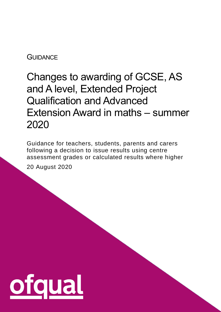#### **GUIDANCE**

# Changes to awarding of GCSE, AS and A level, Extended Project Qualification and Advanced Extension Award in maths – summer 2020

Guidance for teachers, students, parents and carers following a decision to issue results using centre assessment grades or calculated results where higher 20 August 2020

1

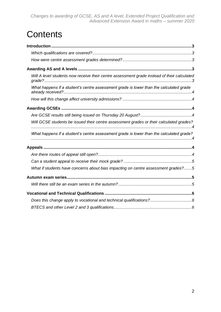## **Contents**

| Will A level students now receive their centre assessment grade instead of their calculated |  |
|---------------------------------------------------------------------------------------------|--|
| What happens if a student's centre assessment grade is lower than the calculated grade      |  |
|                                                                                             |  |
|                                                                                             |  |
|                                                                                             |  |
| Will GCSE students be issued their centre assessment grades or their calculated grades?     |  |
| What happens if a student's centre assessment grade is lower than the calculated grade?     |  |
|                                                                                             |  |
|                                                                                             |  |
|                                                                                             |  |
| What if students have concerns about bias impacting on centre assessment grades?5           |  |
|                                                                                             |  |
|                                                                                             |  |
|                                                                                             |  |
|                                                                                             |  |
|                                                                                             |  |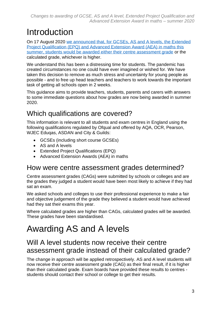## <span id="page-2-0"></span>Introduction

On 17 August 2020 [we announced that, for GCSEs, AS and A levels, the Extended](https://www.gov.uk/government/news/statement-from-roger-taylor-chair-ofqual)  [Project Qualification \(EPQ\) and Advanced Extension Award \(AEA\) in maths this](https://www.gov.uk/government/news/statement-from-roger-taylor-chair-ofqual)  [summer,](https://www.gov.uk/government/news/statement-from-roger-taylor-chair-ofqual) students would be awarded either their centre assessment grade or the calculated grade, whichever is higher.

We understand this has been a distressing time for students. The pandemic has created circumstances no one could have ever imagined or wished for. We have taken this decision to remove as much stress and uncertainty for young people as possible - and to free up head teachers and teachers to work towards the important task of getting all schools open in 2 weeks.

This guidance aims to provide teachers, students, parents and carers with answers to some immediate questions about how grades are now being awarded in summer 2020.

### <span id="page-2-1"></span>Which qualifications are covered?

This information is relevant to all students and exam centres in England using the following qualifications regulated by Ofqual and offered by AQA, OCR, Pearson, WJEC Eduqas, ASDAN and City & Guilds:

- GCSEs (including short course GCSEs)
- AS and A levels
- Extended Project Qualifications (EPQ)
- Advanced Extension Awards (AEA) in maths

#### <span id="page-2-2"></span>How were centre assessment grades determined?

Centre assessment grades (CAGs) were submitted by schools or colleges and are the grades they judged a student would have been most likely to achieve if they had sat an exam.

We asked schools and colleges to use their professional experience to make a fair and objective judgement of the grade they believed a student would have achieved had they sat their exams this year.

Where calculated grades are higher than CAGs, calculated grades will be awarded. These grades have been standardised.

## <span id="page-2-3"></span>Awarding AS and A levels

#### <span id="page-2-4"></span>Will A level students now receive their centre assessment grade instead of their calculated grade?

The change in approach will be applied retrospectively. AS and A level students will now receive their centre assessment grade (CAG) as their final result, if it is higher than their calculated grade. Exam boards have provided these results to centres students should contact their school or college to get their results.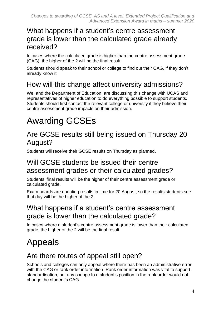#### <span id="page-3-0"></span>What happens if a student's centre assessment grade is lower than the calculated grade already received?

In cases where the calculated grade is higher than the centre assessment grade (CAG), the higher of the 2 will be the final result.

Students should speak to their school or college to find out their CAG, if they don't already know it

## <span id="page-3-1"></span>How will this change affect university admissions?

We, and the Department of Education, are discussing this change with UCAS and representatives of higher education to do everything possible to support students. Students should first contact the relevant college or university if they believe their centre assessment grade impacts on their admission.

# <span id="page-3-2"></span>Awarding GCSEs

#### <span id="page-3-3"></span>Are GCSE results still being issued on Thursday 20 August?

Students will receive their GCSE results on Thursday as planned.

#### <span id="page-3-4"></span>Will GCSE students be issued their centre assessment grades or their calculated grades?

Students' final results will be the higher of their centre assessment grade or calculated grade.

Exam boards are updating results in time for 20 August, so the results students see that day will be the higher of the 2.

#### <span id="page-3-5"></span>What happens if a student's centre assessment grade is lower than the calculated grade?

In cases where a student's centre assessment grade is lower than their calculated grade, the higher of the 2 will be the final result.

## <span id="page-3-6"></span>Appeals

#### <span id="page-3-7"></span>Are there routes of appeal still open?

Schools and colleges can only appeal where there has been an administrative error with the CAG or rank order information. Rank order information was vital to support standardisation, but any change to a student's position in the rank order would not change the student's CAG.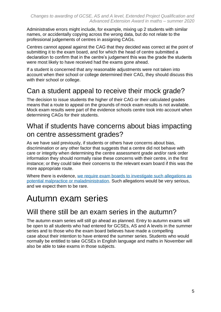Administrative errors might include, for example, mixing up 2 students with similar names, or accidentally copying across the wrong data, but do not relate to the professional judgements of centres in assigning CAGs.

Centres cannot appeal against the CAG that they decided was correct at the point of submitting it to the exam board, and for which the head of centre submitted a declaration to confirm that in the centre's judgement this was the grade the students were most likely to have received had the exams gone ahead.

If a student is concerned that any reasonable adjustments were not taken into account when their school or college determined their CAG, they should discuss this with their school or college.

#### <span id="page-4-0"></span>Can a student appeal to receive their mock grade?

The decision to issue students the higher of their CAG or their calculated grades means that a route to appeal on the grounds of mock exam results is not available. Mock exam results were part of the evidence schools centre took into account when determining CAGs for their students.

#### <span id="page-4-1"></span>What if students have concerns about bias impacting on centre assessment grades?

As we have said previously, if students or others have concerns about bias, discrimination or any other factor that suggests that a centre did not behave with care or integrity when determining the centre assessment grade and/or rank order information they should normally raise these concerns with their centre, in the first instance; or they could take their concerns to the relevant exam board if this was the more appropriate route.

Where there is evidence, we require exam boards to investigate such allegations as [potential malpractice or maladministration.](https://www.gov.uk/government/publications/student-guide-to-post-16-qualification-results-summer-2020) Such allegations would be very serious, and we expect them to be rare.

## <span id="page-4-2"></span>Autumn exam series

#### <span id="page-4-3"></span>Will there still be an exam series in the autumn?

The autumn exam series will still go ahead as planned. Entry to autumn exams will be open to all students who had entered for GCSEs, AS and A levels in the summer series and to those who the exam board believes have made a compelling case about their intention to have entered the summer series. Students who would normally be entitled to take GCSEs in English language and maths in November will also be able to take exams in those subjects.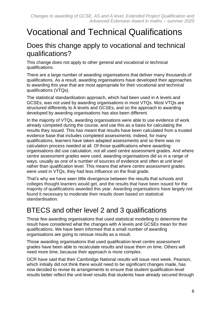## <span id="page-5-0"></span>Vocational and Technical Qualifications

#### <span id="page-5-1"></span>Does this change apply to vocational and technical qualifications?

This change does not apply to other general and vocational or technical qualifications.

There are a large number of awarding organisations that deliver many thousands of qualifications. As a result, awarding organisations have developed their approaches to awarding this year that are most appropriate for their vocational and technical qualifications (VTQs).

The statistical standardisation approach, which had been used in A levels and GCSEs, was not used by awarding organisations in most VTQs. Most VTQs are structured differently to A levels and GCSEs, and so the approach to awarding developed by awarding organisations has also been different.

In the majority of VTQs, awarding organisations were able to use evidence of work already competed during the course, and use this as a basis for calculating the results they issued. This has meant that results have been calculated from a trusted evidence base that includes completed assessments. Indeed, for many qualifications, learners have taken adapted assessments and so there was no calculation process needed at all. Of those qualifications where awarding organisations did use calculation, not all used centre assessment grades. And where centre assessment grades were used, awarding organisations did so in a range of ways, usually as one of a number of sources of evidence and often at unit level rather than qualification level. This means that where centre assessment grades were used in VTQs, they had less influence on the final grade.

That's why we have seen little divergence between the results that schools and colleges thought learners would get, and the results that have been issued for the majority of qualifications awarded this year. Awarding organisations have largely not found it necessary to moderate their results down based on statistical standardisation.

#### <span id="page-5-2"></span>BTECS and other level 2 and 3 qualifications

Those few awarding organisations that used statistical modelling to determine the result have considered what the changes with A levels and GCSEs mean for their qualifications. We have been informed that a small number of awarding organisations are going to reissue results as a result.

Those awarding organisations that used qualification-level centre assessment grades have been able to recalculate results and issue them on time. Others will need more time, because their approach is more complex.

OCR have said that their Cambridge National results will issue next week. Pearson, which initially did not think there would need to be significant changes made, has now decided to revise its arrangements to ensure that student qualification-level results better reflect the unit-level results that students have already secured through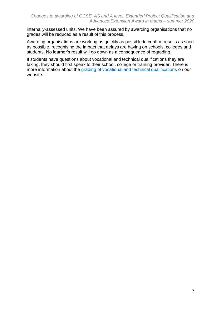internally-assessed units. We have been assured by awarding organisations that no grades will be reduced as a result of this process.

Awarding organisations are working as quickly as possible to confirm results as soon as possible, recognising the impact that delays are having on schools, colleges and students. No learner's result will go down as a consequence of regrading.

If students have questions about vocational and technical qualifications they are taking, they should first speak to their school, college or training provider. There is more information about the [grading of vocational and technical qualifications](https://www.gov.uk/government/news/grading-of-vocational-and-technical-qualifications) on our website.